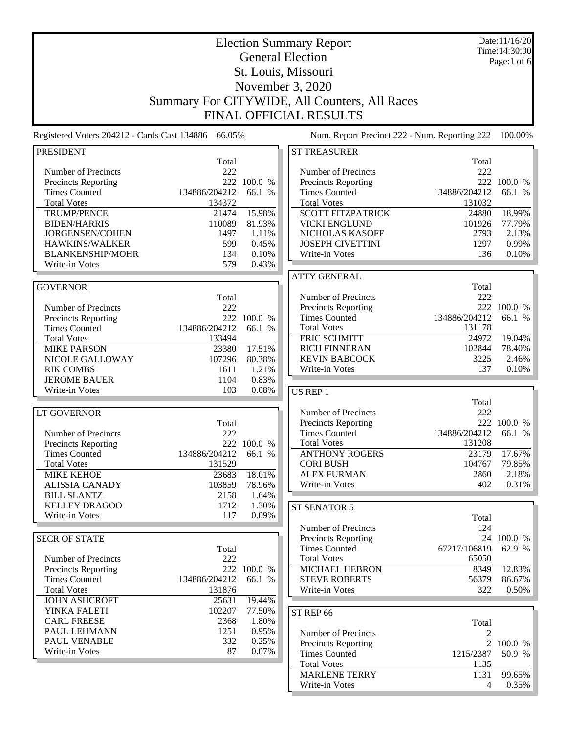| Time: 14:30:00<br><b>General Election</b><br>Page:1 of 6<br>St. Louis, Missouri<br>November 3, 2020<br>Summary For CITYWIDE, All Counters, All Races<br><b>FINAL OFFICIAL RESULTS</b><br>Num. Report Precinct 222 - Num. Reporting 222<br>100.00%<br><b>PRESIDENT</b><br><b>ST TREASURER</b><br>Total<br>Total<br>222<br>Number of Precincts<br>222<br>Number of Precincts<br>222 100.0 %<br>Precincts Reporting<br>222 100.0 %<br><b>Precincts Reporting</b><br><b>Times Counted</b><br>134886/204212<br>66.1 %<br><b>Times Counted</b><br>134886/204212<br>66.1 %<br><b>Total Votes</b><br>134372<br><b>Total Votes</b><br>131032<br>15.98%<br><b>SCOTT FITZPATRICK</b><br>TRUMP/PENCE<br>21474<br>24880<br>18.99%<br><b>BIDEN/HARRIS</b><br>110089<br>81.93%<br><b>VICKI ENGLUND</b><br>77.79%<br>101926<br>JORGENSEN/COHEN<br>1497<br>1.11%<br>NICHOLAS KASOFF<br>2793<br>2.13%<br>0.99%<br>HAWKINS/WALKER<br>599<br>0.45%<br><b>JOSEPH CIVETTINI</b><br>1297<br>0.10%<br>136<br><b>BLANKENSHIP/MOHR</b><br>134<br>Write-in Votes<br>0.10%<br>579<br>0.43%<br>Write-in Votes<br><b>ATTY GENERAL</b><br><b>GOVERNOR</b><br>Total<br>222<br>Number of Precincts<br>Total<br>222 100.0 %<br><b>Precincts Reporting</b><br>Number of Precincts<br>222<br>134886/204212<br><b>Times Counted</b><br>66.1 %<br>222 100.0 %<br><b>Precincts Reporting</b><br>134886/204212<br><b>Total Votes</b><br><b>Times Counted</b><br>66.1 %<br>131178<br><b>ERIC SCHMITT</b><br>19.04%<br><b>Total Votes</b><br>133494<br>24972<br>17.51%<br><b>RICH FINNERAN</b><br>102844<br>78.40%<br><b>MIKE PARSON</b><br>23380<br><b>KEVIN BABCOCK</b><br>2.46%<br>3225<br>NICOLE GALLOWAY<br>107296<br>80.38%<br>Write-in Votes<br>137<br><b>RIK COMBS</b><br>1611<br>1.21%<br>0.10%<br><b>JEROME BAUER</b><br>1104<br>0.83%<br>103<br>0.08%<br>Write-in Votes<br>US REP 1<br>Total<br>Number of Precincts<br>222<br><b>LT GOVERNOR</b><br>222 100.0 %<br><b>Precincts Reporting</b><br>Total<br>222<br><b>Times Counted</b><br>134886/204212<br>Number of Precincts<br>66.1 %<br><b>Total Votes</b><br>131208<br>222 100.0 %<br><b>Precincts Reporting</b><br><b>ANTHONY ROGERS</b><br>17.67%<br>134886/204212<br>23179<br>Times Counted<br>66.1 %<br><b>Total Votes</b><br>131529<br><b>CORI BUSH</b><br>104767<br>79.85%<br><b>MIKE KEHOE</b><br>23683<br>18.01%<br><b>ALEX FURMAN</b><br>2860<br>2.18%<br>402<br>0.31%<br><b>ALISSIA CANADY</b><br>103859<br>Write-in Votes<br>78.96%<br><b>BILL SLANTZ</b><br>2158<br>1.64%<br><b>KELLEY DRAGOO</b><br>1712<br>1.30%<br>ST SENATOR 5<br>Write-in Votes<br>117<br>0.09%<br>Total<br>Number of Precincts<br>124<br><b>SECR OF STATE</b><br><b>Precincts Reporting</b><br>124 100.0 %<br><b>Times Counted</b><br>67217/106819<br>62.9 %<br>Total<br><b>Total Votes</b><br>65050<br>Number of Precincts<br>222<br>222 100.0 %<br><b>MICHAEL HEBRON</b><br>12.83%<br><b>Precincts Reporting</b><br>8349<br>134886/204212<br><b>Times Counted</b><br>66.1 %<br><b>STEVE ROBERTS</b><br>56379<br>86.67%<br><b>Total Votes</b><br>131876<br>322<br>0.50%<br>Write-in Votes<br>19.44%<br><b>JOHN ASHCROFT</b><br>25631<br>YINKA FALETI<br>102207<br>77.50%<br>ST REP 66<br><b>CARL FREESE</b><br>2368<br>1.80%<br>Total<br>PAUL LEHMANN<br>1251<br>0.95%<br>Number of Precincts<br>2<br>PAUL VENABLE<br>332<br>0.25%<br>Precincts Reporting<br>2 100.0 %<br>Write-in Votes<br>87<br>0.07%<br><b>Times Counted</b><br>1215/2387<br>50.9 %<br><b>Total Votes</b><br>1135<br><b>MARLENE TERRY</b><br>1131<br>99.65% | Registered Voters 204212 - Cards Cast 134886 66.05% |  | <b>Election Summary Report</b> | Date:11/16/20 |
|----------------------------------------------------------------------------------------------------------------------------------------------------------------------------------------------------------------------------------------------------------------------------------------------------------------------------------------------------------------------------------------------------------------------------------------------------------------------------------------------------------------------------------------------------------------------------------------------------------------------------------------------------------------------------------------------------------------------------------------------------------------------------------------------------------------------------------------------------------------------------------------------------------------------------------------------------------------------------------------------------------------------------------------------------------------------------------------------------------------------------------------------------------------------------------------------------------------------------------------------------------------------------------------------------------------------------------------------------------------------------------------------------------------------------------------------------------------------------------------------------------------------------------------------------------------------------------------------------------------------------------------------------------------------------------------------------------------------------------------------------------------------------------------------------------------------------------------------------------------------------------------------------------------------------------------------------------------------------------------------------------------------------------------------------------------------------------------------------------------------------------------------------------------------------------------------------------------------------------------------------------------------------------------------------------------------------------------------------------------------------------------------------------------------------------------------------------------------------------------------------------------------------------------------------------------------------------------------------------------------------------------------------------------------------------------------------------------------------------------------------------------------------------------------------------------------------------------------------------------------------------------------------------------------------------------------------------------------------------------------------------------------------------------------------------------------------------------------------------------------------------------------------------------------------------------------------------------------------------------------------------------------------------------------------------------------------------------------------------------------------------------------------------------------------------------------------------------------------------------------------------------------------------------|-----------------------------------------------------|--|--------------------------------|---------------|
|                                                                                                                                                                                                                                                                                                                                                                                                                                                                                                                                                                                                                                                                                                                                                                                                                                                                                                                                                                                                                                                                                                                                                                                                                                                                                                                                                                                                                                                                                                                                                                                                                                                                                                                                                                                                                                                                                                                                                                                                                                                                                                                                                                                                                                                                                                                                                                                                                                                                                                                                                                                                                                                                                                                                                                                                                                                                                                                                                                                                                                                                                                                                                                                                                                                                                                                                                                                                                                                                                                                                        |                                                     |  |                                |               |
|                                                                                                                                                                                                                                                                                                                                                                                                                                                                                                                                                                                                                                                                                                                                                                                                                                                                                                                                                                                                                                                                                                                                                                                                                                                                                                                                                                                                                                                                                                                                                                                                                                                                                                                                                                                                                                                                                                                                                                                                                                                                                                                                                                                                                                                                                                                                                                                                                                                                                                                                                                                                                                                                                                                                                                                                                                                                                                                                                                                                                                                                                                                                                                                                                                                                                                                                                                                                                                                                                                                                        |                                                     |  |                                |               |
|                                                                                                                                                                                                                                                                                                                                                                                                                                                                                                                                                                                                                                                                                                                                                                                                                                                                                                                                                                                                                                                                                                                                                                                                                                                                                                                                                                                                                                                                                                                                                                                                                                                                                                                                                                                                                                                                                                                                                                                                                                                                                                                                                                                                                                                                                                                                                                                                                                                                                                                                                                                                                                                                                                                                                                                                                                                                                                                                                                                                                                                                                                                                                                                                                                                                                                                                                                                                                                                                                                                                        |                                                     |  |                                |               |
|                                                                                                                                                                                                                                                                                                                                                                                                                                                                                                                                                                                                                                                                                                                                                                                                                                                                                                                                                                                                                                                                                                                                                                                                                                                                                                                                                                                                                                                                                                                                                                                                                                                                                                                                                                                                                                                                                                                                                                                                                                                                                                                                                                                                                                                                                                                                                                                                                                                                                                                                                                                                                                                                                                                                                                                                                                                                                                                                                                                                                                                                                                                                                                                                                                                                                                                                                                                                                                                                                                                                        |                                                     |  |                                |               |
|                                                                                                                                                                                                                                                                                                                                                                                                                                                                                                                                                                                                                                                                                                                                                                                                                                                                                                                                                                                                                                                                                                                                                                                                                                                                                                                                                                                                                                                                                                                                                                                                                                                                                                                                                                                                                                                                                                                                                                                                                                                                                                                                                                                                                                                                                                                                                                                                                                                                                                                                                                                                                                                                                                                                                                                                                                                                                                                                                                                                                                                                                                                                                                                                                                                                                                                                                                                                                                                                                                                                        |                                                     |  |                                |               |
|                                                                                                                                                                                                                                                                                                                                                                                                                                                                                                                                                                                                                                                                                                                                                                                                                                                                                                                                                                                                                                                                                                                                                                                                                                                                                                                                                                                                                                                                                                                                                                                                                                                                                                                                                                                                                                                                                                                                                                                                                                                                                                                                                                                                                                                                                                                                                                                                                                                                                                                                                                                                                                                                                                                                                                                                                                                                                                                                                                                                                                                                                                                                                                                                                                                                                                                                                                                                                                                                                                                                        |                                                     |  |                                |               |
|                                                                                                                                                                                                                                                                                                                                                                                                                                                                                                                                                                                                                                                                                                                                                                                                                                                                                                                                                                                                                                                                                                                                                                                                                                                                                                                                                                                                                                                                                                                                                                                                                                                                                                                                                                                                                                                                                                                                                                                                                                                                                                                                                                                                                                                                                                                                                                                                                                                                                                                                                                                                                                                                                                                                                                                                                                                                                                                                                                                                                                                                                                                                                                                                                                                                                                                                                                                                                                                                                                                                        |                                                     |  |                                |               |
|                                                                                                                                                                                                                                                                                                                                                                                                                                                                                                                                                                                                                                                                                                                                                                                                                                                                                                                                                                                                                                                                                                                                                                                                                                                                                                                                                                                                                                                                                                                                                                                                                                                                                                                                                                                                                                                                                                                                                                                                                                                                                                                                                                                                                                                                                                                                                                                                                                                                                                                                                                                                                                                                                                                                                                                                                                                                                                                                                                                                                                                                                                                                                                                                                                                                                                                                                                                                                                                                                                                                        |                                                     |  |                                |               |
|                                                                                                                                                                                                                                                                                                                                                                                                                                                                                                                                                                                                                                                                                                                                                                                                                                                                                                                                                                                                                                                                                                                                                                                                                                                                                                                                                                                                                                                                                                                                                                                                                                                                                                                                                                                                                                                                                                                                                                                                                                                                                                                                                                                                                                                                                                                                                                                                                                                                                                                                                                                                                                                                                                                                                                                                                                                                                                                                                                                                                                                                                                                                                                                                                                                                                                                                                                                                                                                                                                                                        |                                                     |  |                                |               |
|                                                                                                                                                                                                                                                                                                                                                                                                                                                                                                                                                                                                                                                                                                                                                                                                                                                                                                                                                                                                                                                                                                                                                                                                                                                                                                                                                                                                                                                                                                                                                                                                                                                                                                                                                                                                                                                                                                                                                                                                                                                                                                                                                                                                                                                                                                                                                                                                                                                                                                                                                                                                                                                                                                                                                                                                                                                                                                                                                                                                                                                                                                                                                                                                                                                                                                                                                                                                                                                                                                                                        |                                                     |  |                                |               |
|                                                                                                                                                                                                                                                                                                                                                                                                                                                                                                                                                                                                                                                                                                                                                                                                                                                                                                                                                                                                                                                                                                                                                                                                                                                                                                                                                                                                                                                                                                                                                                                                                                                                                                                                                                                                                                                                                                                                                                                                                                                                                                                                                                                                                                                                                                                                                                                                                                                                                                                                                                                                                                                                                                                                                                                                                                                                                                                                                                                                                                                                                                                                                                                                                                                                                                                                                                                                                                                                                                                                        |                                                     |  |                                |               |
|                                                                                                                                                                                                                                                                                                                                                                                                                                                                                                                                                                                                                                                                                                                                                                                                                                                                                                                                                                                                                                                                                                                                                                                                                                                                                                                                                                                                                                                                                                                                                                                                                                                                                                                                                                                                                                                                                                                                                                                                                                                                                                                                                                                                                                                                                                                                                                                                                                                                                                                                                                                                                                                                                                                                                                                                                                                                                                                                                                                                                                                                                                                                                                                                                                                                                                                                                                                                                                                                                                                                        |                                                     |  |                                |               |
|                                                                                                                                                                                                                                                                                                                                                                                                                                                                                                                                                                                                                                                                                                                                                                                                                                                                                                                                                                                                                                                                                                                                                                                                                                                                                                                                                                                                                                                                                                                                                                                                                                                                                                                                                                                                                                                                                                                                                                                                                                                                                                                                                                                                                                                                                                                                                                                                                                                                                                                                                                                                                                                                                                                                                                                                                                                                                                                                                                                                                                                                                                                                                                                                                                                                                                                                                                                                                                                                                                                                        |                                                     |  |                                |               |
|                                                                                                                                                                                                                                                                                                                                                                                                                                                                                                                                                                                                                                                                                                                                                                                                                                                                                                                                                                                                                                                                                                                                                                                                                                                                                                                                                                                                                                                                                                                                                                                                                                                                                                                                                                                                                                                                                                                                                                                                                                                                                                                                                                                                                                                                                                                                                                                                                                                                                                                                                                                                                                                                                                                                                                                                                                                                                                                                                                                                                                                                                                                                                                                                                                                                                                                                                                                                                                                                                                                                        |                                                     |  |                                |               |
|                                                                                                                                                                                                                                                                                                                                                                                                                                                                                                                                                                                                                                                                                                                                                                                                                                                                                                                                                                                                                                                                                                                                                                                                                                                                                                                                                                                                                                                                                                                                                                                                                                                                                                                                                                                                                                                                                                                                                                                                                                                                                                                                                                                                                                                                                                                                                                                                                                                                                                                                                                                                                                                                                                                                                                                                                                                                                                                                                                                                                                                                                                                                                                                                                                                                                                                                                                                                                                                                                                                                        |                                                     |  |                                |               |
|                                                                                                                                                                                                                                                                                                                                                                                                                                                                                                                                                                                                                                                                                                                                                                                                                                                                                                                                                                                                                                                                                                                                                                                                                                                                                                                                                                                                                                                                                                                                                                                                                                                                                                                                                                                                                                                                                                                                                                                                                                                                                                                                                                                                                                                                                                                                                                                                                                                                                                                                                                                                                                                                                                                                                                                                                                                                                                                                                                                                                                                                                                                                                                                                                                                                                                                                                                                                                                                                                                                                        |                                                     |  |                                |               |
|                                                                                                                                                                                                                                                                                                                                                                                                                                                                                                                                                                                                                                                                                                                                                                                                                                                                                                                                                                                                                                                                                                                                                                                                                                                                                                                                                                                                                                                                                                                                                                                                                                                                                                                                                                                                                                                                                                                                                                                                                                                                                                                                                                                                                                                                                                                                                                                                                                                                                                                                                                                                                                                                                                                                                                                                                                                                                                                                                                                                                                                                                                                                                                                                                                                                                                                                                                                                                                                                                                                                        |                                                     |  |                                |               |
|                                                                                                                                                                                                                                                                                                                                                                                                                                                                                                                                                                                                                                                                                                                                                                                                                                                                                                                                                                                                                                                                                                                                                                                                                                                                                                                                                                                                                                                                                                                                                                                                                                                                                                                                                                                                                                                                                                                                                                                                                                                                                                                                                                                                                                                                                                                                                                                                                                                                                                                                                                                                                                                                                                                                                                                                                                                                                                                                                                                                                                                                                                                                                                                                                                                                                                                                                                                                                                                                                                                                        |                                                     |  |                                |               |
|                                                                                                                                                                                                                                                                                                                                                                                                                                                                                                                                                                                                                                                                                                                                                                                                                                                                                                                                                                                                                                                                                                                                                                                                                                                                                                                                                                                                                                                                                                                                                                                                                                                                                                                                                                                                                                                                                                                                                                                                                                                                                                                                                                                                                                                                                                                                                                                                                                                                                                                                                                                                                                                                                                                                                                                                                                                                                                                                                                                                                                                                                                                                                                                                                                                                                                                                                                                                                                                                                                                                        |                                                     |  |                                |               |
|                                                                                                                                                                                                                                                                                                                                                                                                                                                                                                                                                                                                                                                                                                                                                                                                                                                                                                                                                                                                                                                                                                                                                                                                                                                                                                                                                                                                                                                                                                                                                                                                                                                                                                                                                                                                                                                                                                                                                                                                                                                                                                                                                                                                                                                                                                                                                                                                                                                                                                                                                                                                                                                                                                                                                                                                                                                                                                                                                                                                                                                                                                                                                                                                                                                                                                                                                                                                                                                                                                                                        |                                                     |  |                                |               |
|                                                                                                                                                                                                                                                                                                                                                                                                                                                                                                                                                                                                                                                                                                                                                                                                                                                                                                                                                                                                                                                                                                                                                                                                                                                                                                                                                                                                                                                                                                                                                                                                                                                                                                                                                                                                                                                                                                                                                                                                                                                                                                                                                                                                                                                                                                                                                                                                                                                                                                                                                                                                                                                                                                                                                                                                                                                                                                                                                                                                                                                                                                                                                                                                                                                                                                                                                                                                                                                                                                                                        |                                                     |  |                                |               |
|                                                                                                                                                                                                                                                                                                                                                                                                                                                                                                                                                                                                                                                                                                                                                                                                                                                                                                                                                                                                                                                                                                                                                                                                                                                                                                                                                                                                                                                                                                                                                                                                                                                                                                                                                                                                                                                                                                                                                                                                                                                                                                                                                                                                                                                                                                                                                                                                                                                                                                                                                                                                                                                                                                                                                                                                                                                                                                                                                                                                                                                                                                                                                                                                                                                                                                                                                                                                                                                                                                                                        |                                                     |  |                                |               |
|                                                                                                                                                                                                                                                                                                                                                                                                                                                                                                                                                                                                                                                                                                                                                                                                                                                                                                                                                                                                                                                                                                                                                                                                                                                                                                                                                                                                                                                                                                                                                                                                                                                                                                                                                                                                                                                                                                                                                                                                                                                                                                                                                                                                                                                                                                                                                                                                                                                                                                                                                                                                                                                                                                                                                                                                                                                                                                                                                                                                                                                                                                                                                                                                                                                                                                                                                                                                                                                                                                                                        |                                                     |  |                                |               |
|                                                                                                                                                                                                                                                                                                                                                                                                                                                                                                                                                                                                                                                                                                                                                                                                                                                                                                                                                                                                                                                                                                                                                                                                                                                                                                                                                                                                                                                                                                                                                                                                                                                                                                                                                                                                                                                                                                                                                                                                                                                                                                                                                                                                                                                                                                                                                                                                                                                                                                                                                                                                                                                                                                                                                                                                                                                                                                                                                                                                                                                                                                                                                                                                                                                                                                                                                                                                                                                                                                                                        |                                                     |  |                                |               |
|                                                                                                                                                                                                                                                                                                                                                                                                                                                                                                                                                                                                                                                                                                                                                                                                                                                                                                                                                                                                                                                                                                                                                                                                                                                                                                                                                                                                                                                                                                                                                                                                                                                                                                                                                                                                                                                                                                                                                                                                                                                                                                                                                                                                                                                                                                                                                                                                                                                                                                                                                                                                                                                                                                                                                                                                                                                                                                                                                                                                                                                                                                                                                                                                                                                                                                                                                                                                                                                                                                                                        |                                                     |  |                                |               |
|                                                                                                                                                                                                                                                                                                                                                                                                                                                                                                                                                                                                                                                                                                                                                                                                                                                                                                                                                                                                                                                                                                                                                                                                                                                                                                                                                                                                                                                                                                                                                                                                                                                                                                                                                                                                                                                                                                                                                                                                                                                                                                                                                                                                                                                                                                                                                                                                                                                                                                                                                                                                                                                                                                                                                                                                                                                                                                                                                                                                                                                                                                                                                                                                                                                                                                                                                                                                                                                                                                                                        |                                                     |  |                                |               |
|                                                                                                                                                                                                                                                                                                                                                                                                                                                                                                                                                                                                                                                                                                                                                                                                                                                                                                                                                                                                                                                                                                                                                                                                                                                                                                                                                                                                                                                                                                                                                                                                                                                                                                                                                                                                                                                                                                                                                                                                                                                                                                                                                                                                                                                                                                                                                                                                                                                                                                                                                                                                                                                                                                                                                                                                                                                                                                                                                                                                                                                                                                                                                                                                                                                                                                                                                                                                                                                                                                                                        |                                                     |  |                                |               |
|                                                                                                                                                                                                                                                                                                                                                                                                                                                                                                                                                                                                                                                                                                                                                                                                                                                                                                                                                                                                                                                                                                                                                                                                                                                                                                                                                                                                                                                                                                                                                                                                                                                                                                                                                                                                                                                                                                                                                                                                                                                                                                                                                                                                                                                                                                                                                                                                                                                                                                                                                                                                                                                                                                                                                                                                                                                                                                                                                                                                                                                                                                                                                                                                                                                                                                                                                                                                                                                                                                                                        |                                                     |  |                                |               |
|                                                                                                                                                                                                                                                                                                                                                                                                                                                                                                                                                                                                                                                                                                                                                                                                                                                                                                                                                                                                                                                                                                                                                                                                                                                                                                                                                                                                                                                                                                                                                                                                                                                                                                                                                                                                                                                                                                                                                                                                                                                                                                                                                                                                                                                                                                                                                                                                                                                                                                                                                                                                                                                                                                                                                                                                                                                                                                                                                                                                                                                                                                                                                                                                                                                                                                                                                                                                                                                                                                                                        |                                                     |  |                                |               |
|                                                                                                                                                                                                                                                                                                                                                                                                                                                                                                                                                                                                                                                                                                                                                                                                                                                                                                                                                                                                                                                                                                                                                                                                                                                                                                                                                                                                                                                                                                                                                                                                                                                                                                                                                                                                                                                                                                                                                                                                                                                                                                                                                                                                                                                                                                                                                                                                                                                                                                                                                                                                                                                                                                                                                                                                                                                                                                                                                                                                                                                                                                                                                                                                                                                                                                                                                                                                                                                                                                                                        |                                                     |  |                                |               |
|                                                                                                                                                                                                                                                                                                                                                                                                                                                                                                                                                                                                                                                                                                                                                                                                                                                                                                                                                                                                                                                                                                                                                                                                                                                                                                                                                                                                                                                                                                                                                                                                                                                                                                                                                                                                                                                                                                                                                                                                                                                                                                                                                                                                                                                                                                                                                                                                                                                                                                                                                                                                                                                                                                                                                                                                                                                                                                                                                                                                                                                                                                                                                                                                                                                                                                                                                                                                                                                                                                                                        |                                                     |  |                                |               |
|                                                                                                                                                                                                                                                                                                                                                                                                                                                                                                                                                                                                                                                                                                                                                                                                                                                                                                                                                                                                                                                                                                                                                                                                                                                                                                                                                                                                                                                                                                                                                                                                                                                                                                                                                                                                                                                                                                                                                                                                                                                                                                                                                                                                                                                                                                                                                                                                                                                                                                                                                                                                                                                                                                                                                                                                                                                                                                                                                                                                                                                                                                                                                                                                                                                                                                                                                                                                                                                                                                                                        |                                                     |  |                                |               |
|                                                                                                                                                                                                                                                                                                                                                                                                                                                                                                                                                                                                                                                                                                                                                                                                                                                                                                                                                                                                                                                                                                                                                                                                                                                                                                                                                                                                                                                                                                                                                                                                                                                                                                                                                                                                                                                                                                                                                                                                                                                                                                                                                                                                                                                                                                                                                                                                                                                                                                                                                                                                                                                                                                                                                                                                                                                                                                                                                                                                                                                                                                                                                                                                                                                                                                                                                                                                                                                                                                                                        |                                                     |  |                                |               |
|                                                                                                                                                                                                                                                                                                                                                                                                                                                                                                                                                                                                                                                                                                                                                                                                                                                                                                                                                                                                                                                                                                                                                                                                                                                                                                                                                                                                                                                                                                                                                                                                                                                                                                                                                                                                                                                                                                                                                                                                                                                                                                                                                                                                                                                                                                                                                                                                                                                                                                                                                                                                                                                                                                                                                                                                                                                                                                                                                                                                                                                                                                                                                                                                                                                                                                                                                                                                                                                                                                                                        |                                                     |  |                                |               |
|                                                                                                                                                                                                                                                                                                                                                                                                                                                                                                                                                                                                                                                                                                                                                                                                                                                                                                                                                                                                                                                                                                                                                                                                                                                                                                                                                                                                                                                                                                                                                                                                                                                                                                                                                                                                                                                                                                                                                                                                                                                                                                                                                                                                                                                                                                                                                                                                                                                                                                                                                                                                                                                                                                                                                                                                                                                                                                                                                                                                                                                                                                                                                                                                                                                                                                                                                                                                                                                                                                                                        |                                                     |  |                                |               |
|                                                                                                                                                                                                                                                                                                                                                                                                                                                                                                                                                                                                                                                                                                                                                                                                                                                                                                                                                                                                                                                                                                                                                                                                                                                                                                                                                                                                                                                                                                                                                                                                                                                                                                                                                                                                                                                                                                                                                                                                                                                                                                                                                                                                                                                                                                                                                                                                                                                                                                                                                                                                                                                                                                                                                                                                                                                                                                                                                                                                                                                                                                                                                                                                                                                                                                                                                                                                                                                                                                                                        |                                                     |  |                                |               |
|                                                                                                                                                                                                                                                                                                                                                                                                                                                                                                                                                                                                                                                                                                                                                                                                                                                                                                                                                                                                                                                                                                                                                                                                                                                                                                                                                                                                                                                                                                                                                                                                                                                                                                                                                                                                                                                                                                                                                                                                                                                                                                                                                                                                                                                                                                                                                                                                                                                                                                                                                                                                                                                                                                                                                                                                                                                                                                                                                                                                                                                                                                                                                                                                                                                                                                                                                                                                                                                                                                                                        |                                                     |  |                                |               |
|                                                                                                                                                                                                                                                                                                                                                                                                                                                                                                                                                                                                                                                                                                                                                                                                                                                                                                                                                                                                                                                                                                                                                                                                                                                                                                                                                                                                                                                                                                                                                                                                                                                                                                                                                                                                                                                                                                                                                                                                                                                                                                                                                                                                                                                                                                                                                                                                                                                                                                                                                                                                                                                                                                                                                                                                                                                                                                                                                                                                                                                                                                                                                                                                                                                                                                                                                                                                                                                                                                                                        |                                                     |  |                                |               |
|                                                                                                                                                                                                                                                                                                                                                                                                                                                                                                                                                                                                                                                                                                                                                                                                                                                                                                                                                                                                                                                                                                                                                                                                                                                                                                                                                                                                                                                                                                                                                                                                                                                                                                                                                                                                                                                                                                                                                                                                                                                                                                                                                                                                                                                                                                                                                                                                                                                                                                                                                                                                                                                                                                                                                                                                                                                                                                                                                                                                                                                                                                                                                                                                                                                                                                                                                                                                                                                                                                                                        |                                                     |  |                                |               |
|                                                                                                                                                                                                                                                                                                                                                                                                                                                                                                                                                                                                                                                                                                                                                                                                                                                                                                                                                                                                                                                                                                                                                                                                                                                                                                                                                                                                                                                                                                                                                                                                                                                                                                                                                                                                                                                                                                                                                                                                                                                                                                                                                                                                                                                                                                                                                                                                                                                                                                                                                                                                                                                                                                                                                                                                                                                                                                                                                                                                                                                                                                                                                                                                                                                                                                                                                                                                                                                                                                                                        |                                                     |  |                                |               |
|                                                                                                                                                                                                                                                                                                                                                                                                                                                                                                                                                                                                                                                                                                                                                                                                                                                                                                                                                                                                                                                                                                                                                                                                                                                                                                                                                                                                                                                                                                                                                                                                                                                                                                                                                                                                                                                                                                                                                                                                                                                                                                                                                                                                                                                                                                                                                                                                                                                                                                                                                                                                                                                                                                                                                                                                                                                                                                                                                                                                                                                                                                                                                                                                                                                                                                                                                                                                                                                                                                                                        |                                                     |  |                                |               |
|                                                                                                                                                                                                                                                                                                                                                                                                                                                                                                                                                                                                                                                                                                                                                                                                                                                                                                                                                                                                                                                                                                                                                                                                                                                                                                                                                                                                                                                                                                                                                                                                                                                                                                                                                                                                                                                                                                                                                                                                                                                                                                                                                                                                                                                                                                                                                                                                                                                                                                                                                                                                                                                                                                                                                                                                                                                                                                                                                                                                                                                                                                                                                                                                                                                                                                                                                                                                                                                                                                                                        |                                                     |  |                                |               |
|                                                                                                                                                                                                                                                                                                                                                                                                                                                                                                                                                                                                                                                                                                                                                                                                                                                                                                                                                                                                                                                                                                                                                                                                                                                                                                                                                                                                                                                                                                                                                                                                                                                                                                                                                                                                                                                                                                                                                                                                                                                                                                                                                                                                                                                                                                                                                                                                                                                                                                                                                                                                                                                                                                                                                                                                                                                                                                                                                                                                                                                                                                                                                                                                                                                                                                                                                                                                                                                                                                                                        |                                                     |  |                                |               |
|                                                                                                                                                                                                                                                                                                                                                                                                                                                                                                                                                                                                                                                                                                                                                                                                                                                                                                                                                                                                                                                                                                                                                                                                                                                                                                                                                                                                                                                                                                                                                                                                                                                                                                                                                                                                                                                                                                                                                                                                                                                                                                                                                                                                                                                                                                                                                                                                                                                                                                                                                                                                                                                                                                                                                                                                                                                                                                                                                                                                                                                                                                                                                                                                                                                                                                                                                                                                                                                                                                                                        |                                                     |  |                                |               |
|                                                                                                                                                                                                                                                                                                                                                                                                                                                                                                                                                                                                                                                                                                                                                                                                                                                                                                                                                                                                                                                                                                                                                                                                                                                                                                                                                                                                                                                                                                                                                                                                                                                                                                                                                                                                                                                                                                                                                                                                                                                                                                                                                                                                                                                                                                                                                                                                                                                                                                                                                                                                                                                                                                                                                                                                                                                                                                                                                                                                                                                                                                                                                                                                                                                                                                                                                                                                                                                                                                                                        |                                                     |  |                                |               |
|                                                                                                                                                                                                                                                                                                                                                                                                                                                                                                                                                                                                                                                                                                                                                                                                                                                                                                                                                                                                                                                                                                                                                                                                                                                                                                                                                                                                                                                                                                                                                                                                                                                                                                                                                                                                                                                                                                                                                                                                                                                                                                                                                                                                                                                                                                                                                                                                                                                                                                                                                                                                                                                                                                                                                                                                                                                                                                                                                                                                                                                                                                                                                                                                                                                                                                                                                                                                                                                                                                                                        |                                                     |  |                                |               |
|                                                                                                                                                                                                                                                                                                                                                                                                                                                                                                                                                                                                                                                                                                                                                                                                                                                                                                                                                                                                                                                                                                                                                                                                                                                                                                                                                                                                                                                                                                                                                                                                                                                                                                                                                                                                                                                                                                                                                                                                                                                                                                                                                                                                                                                                                                                                                                                                                                                                                                                                                                                                                                                                                                                                                                                                                                                                                                                                                                                                                                                                                                                                                                                                                                                                                                                                                                                                                                                                                                                                        |                                                     |  |                                |               |
|                                                                                                                                                                                                                                                                                                                                                                                                                                                                                                                                                                                                                                                                                                                                                                                                                                                                                                                                                                                                                                                                                                                                                                                                                                                                                                                                                                                                                                                                                                                                                                                                                                                                                                                                                                                                                                                                                                                                                                                                                                                                                                                                                                                                                                                                                                                                                                                                                                                                                                                                                                                                                                                                                                                                                                                                                                                                                                                                                                                                                                                                                                                                                                                                                                                                                                                                                                                                                                                                                                                                        |                                                     |  |                                |               |
|                                                                                                                                                                                                                                                                                                                                                                                                                                                                                                                                                                                                                                                                                                                                                                                                                                                                                                                                                                                                                                                                                                                                                                                                                                                                                                                                                                                                                                                                                                                                                                                                                                                                                                                                                                                                                                                                                                                                                                                                                                                                                                                                                                                                                                                                                                                                                                                                                                                                                                                                                                                                                                                                                                                                                                                                                                                                                                                                                                                                                                                                                                                                                                                                                                                                                                                                                                                                                                                                                                                                        |                                                     |  |                                |               |
|                                                                                                                                                                                                                                                                                                                                                                                                                                                                                                                                                                                                                                                                                                                                                                                                                                                                                                                                                                                                                                                                                                                                                                                                                                                                                                                                                                                                                                                                                                                                                                                                                                                                                                                                                                                                                                                                                                                                                                                                                                                                                                                                                                                                                                                                                                                                                                                                                                                                                                                                                                                                                                                                                                                                                                                                                                                                                                                                                                                                                                                                                                                                                                                                                                                                                                                                                                                                                                                                                                                                        |                                                     |  |                                |               |
|                                                                                                                                                                                                                                                                                                                                                                                                                                                                                                                                                                                                                                                                                                                                                                                                                                                                                                                                                                                                                                                                                                                                                                                                                                                                                                                                                                                                                                                                                                                                                                                                                                                                                                                                                                                                                                                                                                                                                                                                                                                                                                                                                                                                                                                                                                                                                                                                                                                                                                                                                                                                                                                                                                                                                                                                                                                                                                                                                                                                                                                                                                                                                                                                                                                                                                                                                                                                                                                                                                                                        |                                                     |  |                                |               |
|                                                                                                                                                                                                                                                                                                                                                                                                                                                                                                                                                                                                                                                                                                                                                                                                                                                                                                                                                                                                                                                                                                                                                                                                                                                                                                                                                                                                                                                                                                                                                                                                                                                                                                                                                                                                                                                                                                                                                                                                                                                                                                                                                                                                                                                                                                                                                                                                                                                                                                                                                                                                                                                                                                                                                                                                                                                                                                                                                                                                                                                                                                                                                                                                                                                                                                                                                                                                                                                                                                                                        |                                                     |  |                                |               |
| Write-in Votes<br>0.35%<br>$\overline{4}$                                                                                                                                                                                                                                                                                                                                                                                                                                                                                                                                                                                                                                                                                                                                                                                                                                                                                                                                                                                                                                                                                                                                                                                                                                                                                                                                                                                                                                                                                                                                                                                                                                                                                                                                                                                                                                                                                                                                                                                                                                                                                                                                                                                                                                                                                                                                                                                                                                                                                                                                                                                                                                                                                                                                                                                                                                                                                                                                                                                                                                                                                                                                                                                                                                                                                                                                                                                                                                                                                              |                                                     |  |                                |               |

L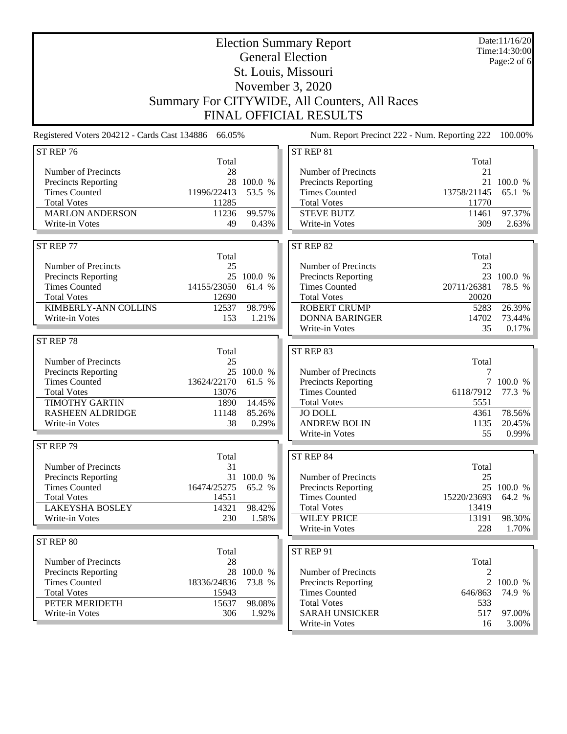|                                                     |                |                      | <b>Election Summary Report</b>                |                | Date:11/16/20<br>Time: 14:30:00 |
|-----------------------------------------------------|----------------|----------------------|-----------------------------------------------|----------------|---------------------------------|
|                                                     |                |                      | <b>General Election</b>                       |                | Page:2 of 6                     |
|                                                     |                |                      | St. Louis, Missouri                           |                |                                 |
|                                                     |                | November 3, 2020     |                                               |                |                                 |
|                                                     |                |                      | Summary For CITYWIDE, All Counters, All Races |                |                                 |
|                                                     |                |                      | <b>FINAL OFFICIAL RESULTS</b>                 |                |                                 |
| Registered Voters 204212 - Cards Cast 134886 66.05% |                |                      | Num. Report Precinct 222 - Num. Reporting 222 |                | 100.00%                         |
| ST REP 76                                           |                |                      | ST REP 81                                     |                |                                 |
|                                                     | Total          |                      |                                               | Total          |                                 |
| Number of Precincts                                 | 28             |                      | Number of Precincts                           | 21             |                                 |
| Precincts Reporting                                 | 28             | 100.0 %              | Precincts Reporting                           | 21             | 100.0 %                         |
| <b>Times Counted</b>                                | 11996/22413    | 53.5 %               | <b>Times Counted</b>                          | 13758/21145    | 65.1 %                          |
| <b>Total Votes</b><br><b>MARLON ANDERSON</b>        | 11285<br>11236 | 99.57%               | <b>Total Votes</b><br><b>STEVE BUTZ</b>       | 11770<br>11461 | 97.37%                          |
| Write-in Votes                                      | 49             | 0.43%                | Write-in Votes                                | 309            | 2.63%                           |
|                                                     |                |                      |                                               |                |                                 |
| ST REP 77                                           |                |                      | ST REP 82                                     |                |                                 |
|                                                     | Total          |                      |                                               | Total          |                                 |
| Number of Precincts                                 | 25             |                      | Number of Precincts                           | 23             |                                 |
| Precincts Reporting<br><b>Times Counted</b>         | 14155/23050    | 25 100.0 %<br>61.4 % | Precincts Reporting<br><b>Times Counted</b>   | 20711/26381    | 23 100.0 %<br>78.5 %            |
| <b>Total Votes</b>                                  | 12690          |                      | <b>Total Votes</b>                            | 20020          |                                 |
| KIMBERLY-ANN COLLINS                                | 12537          | 98.79%               | <b>ROBERT CRUMP</b>                           | 5283           | 26.39%                          |
| Write-in Votes                                      | 153            | 1.21%                | <b>DONNA BARINGER</b>                         | 14702          | 73.44%                          |
|                                                     |                |                      | Write-in Votes                                | 35             | 0.17%                           |
| ST REP 78                                           |                |                      |                                               |                |                                 |
|                                                     | Total          |                      | ST REP 83                                     |                |                                 |
| Number of Precincts                                 | 25             |                      |                                               | Total          |                                 |
| Precincts Reporting<br><b>Times Counted</b>         | 13624/22170    | 25 100.0 %<br>61.5 % | Number of Precincts<br>Precincts Reporting    | 7              | 7 100.0 %                       |
| <b>Total Votes</b>                                  | 13076          |                      | <b>Times Counted</b>                          | 6118/7912      | 77.3 %                          |
| <b>TIMOTHY GARTIN</b>                               | 1890           | 14.45%               | <b>Total Votes</b>                            | 5551           |                                 |
| <b>RASHEEN ALDRIDGE</b>                             | 11148          | 85.26%               | <b>JO DOLL</b>                                | 4361           | 78.56%                          |
| Write-in Votes                                      | 38             | 0.29%                | <b>ANDREW BOLIN</b>                           | 1135           | 20.45%                          |
|                                                     |                |                      | Write-in Votes                                | 55             | 0.99%                           |
| ST REP 79                                           |                |                      |                                               |                |                                 |
| Number of Precincts                                 | Total<br>31    |                      | ST REP 84                                     | Total          |                                 |
| Precincts Reporting                                 | 31             | 100.0 %              | Number of Precincts                           | 25             |                                 |
| <b>Times Counted</b>                                | 16474/25275    | 65.2 %               | Precincts Reporting                           |                | 25 100.0 %                      |
| <b>Total Votes</b>                                  | 14551          |                      | <b>Times Counted</b>                          | 15220/23693    | 64.2 %                          |
| <b>LAKEYSHA BOSLEY</b>                              | 14321          | 98.42%               | <b>Total Votes</b>                            | 13419          |                                 |
| Write-in Votes                                      | 230            | 1.58%                | <b>WILEY PRICE</b>                            | 13191          | 98.30%                          |
|                                                     |                |                      | Write-in Votes                                | 228            | 1.70%                           |
| ST REP 80                                           | Total          |                      | ST REP 91                                     |                |                                 |
| Number of Precincts                                 | 28             |                      |                                               | Total          |                                 |
| Precincts Reporting                                 |                | 28 100.0 %           | Number of Precincts                           | 2              |                                 |
| <b>Times Counted</b>                                | 18336/24836    | 73.8 %               | Precincts Reporting                           | $\overline{2}$ | 100.0 %                         |
| <b>Total Votes</b>                                  | 15943          |                      | <b>Times Counted</b>                          | 646/863        | 74.9 %                          |
| PETER MERIDETH                                      | 15637          | 98.08%               | <b>Total Votes</b>                            | 533            |                                 |
| Write-in Votes                                      | 306            | 1.92%                | <b>SARAH UNSICKER</b>                         | 517            | 97.00%                          |
|                                                     |                |                      | Write-in Votes                                | 16             | 3.00%                           |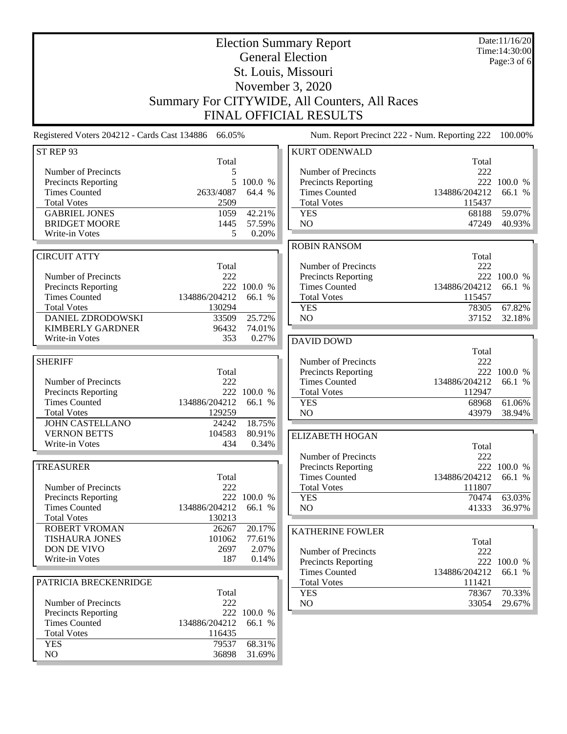|                                                     |                         |                       | <b>Election Summary Report</b>                    |                         | Date:11/16/20<br>Time: 14:30:00 |
|-----------------------------------------------------|-------------------------|-----------------------|---------------------------------------------------|-------------------------|---------------------------------|
|                                                     |                         |                       | <b>General Election</b>                           |                         | Page: 3 of 6                    |
|                                                     |                         |                       | St. Louis, Missouri                               |                         |                                 |
|                                                     |                         |                       | November 3, 2020                                  |                         |                                 |
|                                                     |                         |                       | Summary For CITYWIDE, All Counters, All Races     |                         |                                 |
| <b>FINAL OFFICIAL RESULTS</b>                       |                         |                       |                                                   |                         |                                 |
| Registered Voters 204212 - Cards Cast 134886 66.05% |                         |                       | Num. Report Precinct 222 - Num. Reporting 222     |                         | 100.00%                         |
| ST REP 93                                           |                         |                       | <b>KURT ODENWALD</b>                              |                         |                                 |
|                                                     | Total                   |                       |                                                   | Total                   |                                 |
| Number of Precincts<br><b>Precincts Reporting</b>   | 5<br>5                  | 100.0 %               | Number of Precincts<br><b>Precincts Reporting</b> | 222                     | 222 100.0 %                     |
| <b>Times Counted</b>                                | 2633/4087               | 64.4 %                | <b>Times Counted</b>                              | 134886/204212           | 66.1 %                          |
| <b>Total Votes</b>                                  | 2509                    |                       | <b>Total Votes</b>                                | 115437                  |                                 |
| <b>GABRIEL JONES</b>                                | 1059                    | 42.21%                | <b>YES</b>                                        | 68188                   | 59.07%                          |
| <b>BRIDGET MOORE</b>                                | 1445                    | 57.59%                | N <sub>O</sub>                                    | 47249                   | 40.93%                          |
| Write-in Votes                                      | 5                       | 0.20%                 |                                                   |                         |                                 |
|                                                     |                         |                       | <b>ROBIN RANSOM</b>                               |                         |                                 |
| <b>CIRCUIT ATTY</b>                                 |                         |                       |                                                   | Total                   |                                 |
| Number of Precincts                                 | Total<br>222            |                       | Number of Precincts<br><b>Precincts Reporting</b> | 222                     | 222 100.0 %                     |
| Precincts Reporting                                 |                         | 222 100.0 %           | <b>Times Counted</b>                              | 134886/204212           | 66.1 %                          |
| <b>Times Counted</b>                                | 134886/204212           | 66.1 %                | <b>Total Votes</b>                                | 115457                  |                                 |
| <b>Total Votes</b>                                  | 130294                  |                       | <b>YES</b>                                        | 78305                   | 67.82%                          |
| DANIEL ZDRODOWSKI                                   | 33509                   | 25.72%                | NO                                                | 37152                   | 32.18%                          |
| <b>KIMBERLY GARDNER</b>                             | 96432                   | 74.01%                |                                                   |                         |                                 |
| Write-in Votes                                      | 353                     | 0.27%                 | <b>DAVID DOWD</b>                                 |                         |                                 |
|                                                     |                         |                       |                                                   | Total                   |                                 |
| <b>SHERIFF</b>                                      |                         |                       | Number of Precincts                               | 222                     |                                 |
|                                                     | Total                   |                       | Precincts Reporting                               | 222                     | 100.0 %                         |
| Number of Precincts<br><b>Precincts Reporting</b>   | 222                     | 222 100.0 %           | <b>Times Counted</b><br><b>Total Votes</b>        | 134886/204212<br>112947 | 66.1 %                          |
| <b>Times Counted</b>                                | 134886/204212           | 66.1 %                | <b>YES</b>                                        | 68968                   | 61.06%                          |
| <b>Total Votes</b>                                  | 129259                  |                       | NO                                                | 43979                   | 38.94%                          |
| <b>JOHN CASTELLANO</b>                              | 24242                   | 18.75%                |                                                   |                         |                                 |
| <b>VERNON BETTS</b>                                 | 104583                  | 80.91%                | <b>ELIZABETH HOGAN</b>                            |                         |                                 |
| Write-in Votes                                      | 434                     | 0.34%                 |                                                   | Total                   |                                 |
|                                                     |                         |                       | Number of Precincts                               | 222                     |                                 |
| <b>TREASURER</b>                                    |                         |                       | Precincts Reporting                               |                         | 222 100.0 %                     |
|                                                     | Total                   |                       | <b>Times Counted</b>                              | 134886/204212           | 66.1 %                          |
| Number of Precincts                                 | 222                     |                       | <b>Total Votes</b>                                | 111807                  |                                 |
| <b>Precincts Reporting</b>                          |                         | 222 100.0 %           | <b>YES</b>                                        | 70474                   | 63.03%                          |
| <b>Times Counted</b><br><b>Total Votes</b>          | 134886/204212<br>130213 | 66.1 %                | NO                                                | 41333                   | 36.97%                          |
| <b>ROBERT VROMAN</b>                                | 26267                   | 20.17%                |                                                   |                         |                                 |
| <b>TISHAURA JONES</b>                               | 101062                  | 77.61%                | <b>KATHERINE FOWLER</b>                           |                         |                                 |
| DON DE VIVO                                         | 2697                    | 2.07%                 | Number of Precincts                               | Total<br>222            |                                 |
| Write-in Votes                                      | 187                     | 0.14%                 | Precincts Reporting                               | 222                     | 100.0 %                         |
|                                                     |                         |                       | <b>Times Counted</b>                              | 134886/204212           | 66.1 %                          |
| PATRICIA BRECKENRIDGE                               |                         |                       | <b>Total Votes</b>                                | 111421                  |                                 |
|                                                     | Total                   |                       | <b>YES</b>                                        | 78367                   | 70.33%                          |
| Number of Precincts                                 | 222                     |                       | NO                                                | 33054                   | 29.67%                          |
| <b>Precincts Reporting</b><br><b>Times Counted</b>  | 134886/204212           | 222 100.0 %<br>66.1 % |                                                   |                         |                                 |
| <b>Total Votes</b>                                  | 116435                  |                       |                                                   |                         |                                 |
| <b>YES</b>                                          | 79537                   | 68.31%                |                                                   |                         |                                 |
| NO                                                  | 36898                   | 31.69%                |                                                   |                         |                                 |
|                                                     |                         |                       |                                                   |                         |                                 |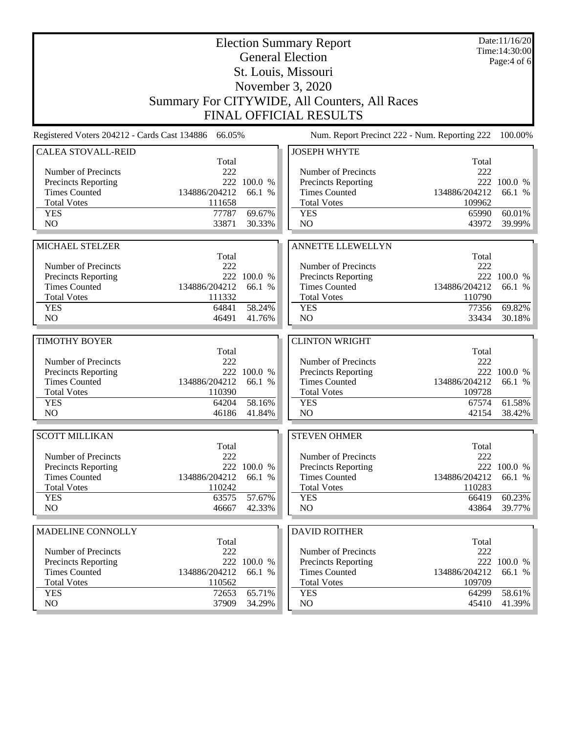|                                                     |                |                  | <b>Election Summary Report</b>                |                | Date:11/16/20<br>Time: 14:30:00 |
|-----------------------------------------------------|----------------|------------------|-----------------------------------------------|----------------|---------------------------------|
|                                                     |                |                  | <b>General Election</b>                       |                | Page: 4 of 6                    |
|                                                     |                |                  | St. Louis, Missouri                           |                |                                 |
| November 3, 2020                                    |                |                  |                                               |                |                                 |
|                                                     |                |                  | Summary For CITYWIDE, All Counters, All Races |                |                                 |
|                                                     |                |                  | <b>FINAL OFFICIAL RESULTS</b>                 |                |                                 |
| Registered Voters 204212 - Cards Cast 134886 66.05% |                |                  | Num. Report Precinct 222 - Num. Reporting 222 |                | 100.00%                         |
| <b>CALEA STOVALL-REID</b>                           |                |                  | <b>JOSEPH WHYTE</b>                           |                |                                 |
| Number of Precincts                                 | Total<br>222   |                  | Number of Precincts                           | Total<br>222   |                                 |
| <b>Precincts Reporting</b>                          |                | 222 100.0 %      | <b>Precincts Reporting</b>                    |                | 222 100.0 %                     |
| <b>Times Counted</b>                                | 134886/204212  | 66.1 %           | <b>Times Counted</b>                          | 134886/204212  | 66.1 %                          |
| <b>Total Votes</b>                                  | 111658         |                  | <b>Total Votes</b>                            | 109962         |                                 |
| <b>YES</b>                                          | 77787          | 69.67%           | <b>YES</b>                                    | 65990          | 60.01%                          |
| N <sub>O</sub>                                      | 33871          | 30.33%           | N <sub>O</sub>                                | 43972          | 39.99%                          |
| MICHAEL STELZER                                     |                |                  | <b>ANNETTE LLEWELLYN</b>                      |                |                                 |
|                                                     | Total          |                  |                                               | Total          |                                 |
| Number of Precincts                                 | 222            |                  | Number of Precincts                           | 222            |                                 |
| <b>Precincts Reporting</b>                          |                | 222 100.0 %      | Precincts Reporting                           |                | 222 100.0 %                     |
| <b>Times Counted</b>                                | 134886/204212  | 66.1 %           | <b>Times Counted</b>                          | 134886/204212  | 66.1 %                          |
| <b>Total Votes</b>                                  | 111332         |                  | <b>Total Votes</b>                            | 110790         |                                 |
| <b>YES</b>                                          | 64841          | 58.24%           | <b>YES</b>                                    | 77356          | 69.82%                          |
| N <sub>O</sub>                                      | 46491          | 41.76%           | N <sub>O</sub>                                | 33434          | 30.18%                          |
| <b>TIMOTHY BOYER</b>                                |                |                  | <b>CLINTON WRIGHT</b>                         |                |                                 |
|                                                     | Total          |                  |                                               | Total          |                                 |
| Number of Precincts                                 | 222            |                  | Number of Precincts                           | 222            |                                 |
| <b>Precincts Reporting</b>                          |                | 222 100.0 %      | Precincts Reporting                           |                | 222 100.0 %                     |
| <b>Times Counted</b>                                | 134886/204212  | 66.1 %           | <b>Times Counted</b>                          | 134886/204212  | 66.1 %                          |
| <b>Total Votes</b>                                  | 110390         |                  | <b>Total Votes</b>                            | 109728         |                                 |
| <b>YES</b><br>N <sub>O</sub>                        | 64204<br>46186 | 58.16%<br>41.84% | <b>YES</b><br>NO                              | 67574<br>42154 | 61.58%<br>38.42%                |
|                                                     |                |                  |                                               |                |                                 |
| <b>SCOTT MILLIKAN</b>                               |                |                  | <b>STEVEN OHMER</b>                           |                |                                 |
| Number of Precincts                                 | Total<br>222   |                  | Number of Precincts                           | Total<br>222   |                                 |
| <b>Precincts Reporting</b>                          | 222            | 100.0 %          | Precincts Reporting                           |                | 222 100.0 %                     |
| <b>Times Counted</b>                                | 134886/204212  | 66.1 %           | <b>Times Counted</b>                          | 134886/204212  | 66.1 %                          |
| <b>Total Votes</b>                                  | 110242         |                  | <b>Total Votes</b>                            | 110283         |                                 |
| <b>YES</b>                                          | 63575          | 57.67%           | <b>YES</b>                                    | 66419          | 60.23%                          |
| NO                                                  | 46667          | 42.33%           | NO                                            | 43864          | 39.77%                          |
| MADELINE CONNOLLY                                   |                |                  | <b>DAVID ROITHER</b>                          |                |                                 |
|                                                     | Total          |                  |                                               | Total          |                                 |
| Number of Precincts                                 | 222            |                  | Number of Precincts                           | 222            |                                 |
| Precincts Reporting                                 | 222            | 100.0 %          | Precincts Reporting                           | 222            | 100.0 %                         |
| <b>Times Counted</b>                                | 134886/204212  | 66.1 %           | <b>Times Counted</b>                          | 134886/204212  | 66.1 %                          |
| <b>Total Votes</b>                                  | 110562         |                  | <b>Total Votes</b>                            | 109709         |                                 |
| <b>YES</b>                                          | 72653          | 65.71%           | <b>YES</b>                                    | 64299          | 58.61%                          |
| NO                                                  | 37909          | 34.29%           | NO                                            | 45410          | 41.39%                          |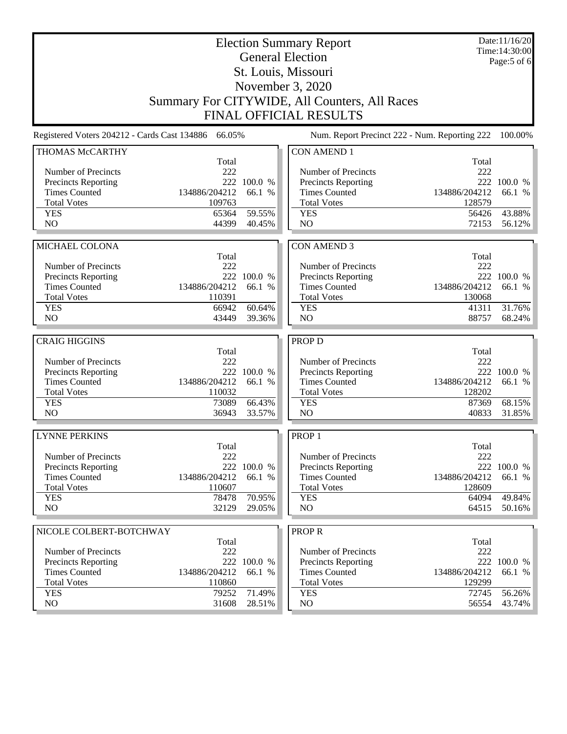|                                                                                                                                                                 | Date:11/16/20<br>Time: 14:30:00    |
|-----------------------------------------------------------------------------------------------------------------------------------------------------------------|------------------------------------|
| <b>General Election</b>                                                                                                                                         | Page:5 of 6                        |
| St. Louis, Missouri                                                                                                                                             |                                    |
| November 3, 2020                                                                                                                                                |                                    |
| Summary For CITYWIDE, All Counters, All Races                                                                                                                   |                                    |
| <b>FINAL OFFICIAL RESULTS</b>                                                                                                                                   |                                    |
| Registered Voters 204212 - Cards Cast 134886 66.05%<br>Num. Report Precinct 222 - Num. Reporting 222                                                            | 100.00%                            |
| THOMAS McCARTHY<br><b>CON AMEND 1</b>                                                                                                                           |                                    |
| Total                                                                                                                                                           | Total                              |
| Number of Precincts<br>222<br>Number of Precincts<br>222 100.0 %                                                                                                | 222<br>222 100.0 %                 |
| <b>Precincts Reporting</b><br><b>Precincts Reporting</b><br><b>Times Counted</b><br>134886/204212<br><b>Times Counted</b><br>134886/204212<br>66.1 %            | 66.1 %                             |
| <b>Total Votes</b><br>109763<br><b>Total Votes</b>                                                                                                              | 128579                             |
| 59.55%<br><b>YES</b><br>65364<br><b>YES</b>                                                                                                                     | 43.88%<br>56426                    |
| NO<br>NO<br>44399<br>40.45%                                                                                                                                     | 72153<br>56.12%                    |
|                                                                                                                                                                 |                                    |
| MICHAEL COLONA<br><b>CON AMEND 3</b>                                                                                                                            |                                    |
| Total                                                                                                                                                           | Total                              |
| Number of Precincts<br>222<br>Number of Precincts                                                                                                               | 222                                |
| 222 100.0 %<br><b>Precincts Reporting</b><br>Precincts Reporting                                                                                                | 222 100.0 %                        |
| 134886/204212<br><b>Times Counted</b><br>66.1 %<br><b>Times Counted</b><br>134886/204212<br>110391                                                              | 66.1 %                             |
| <b>Total Votes</b><br><b>Total Votes</b><br>60.64%<br><b>YES</b><br>66942<br><b>YES</b>                                                                         | 130068<br>31.76%<br>41311          |
| NO<br>NO<br>43449<br>39.36%                                                                                                                                     | 88757<br>68.24%                    |
|                                                                                                                                                                 |                                    |
| <b>PROP D</b><br><b>CRAIG HIGGINS</b>                                                                                                                           |                                    |
| Total                                                                                                                                                           |                                    |
|                                                                                                                                                                 | Total                              |
| 222<br>Number of Precincts<br>Number of Precincts                                                                                                               | 222                                |
| 222 100.0 %<br>Precincts Reporting<br><b>Precincts Reporting</b>                                                                                                | 222 100.0 %                        |
| <b>Times Counted</b><br>134886/204212<br><b>Times Counted</b><br>134886/204212<br>66.1 %                                                                        | 66.1 %                             |
| <b>Total Votes</b><br>110032<br><b>Total Votes</b>                                                                                                              | 128202                             |
| 66.43%<br><b>YES</b><br>73089<br><b>YES</b>                                                                                                                     | 68.15%<br>87369                    |
| N <sub>O</sub><br>N <sub>O</sub><br>36943<br>33.57%                                                                                                             | 40833<br>31.85%                    |
| <b>LYNNE PERKINS</b><br>PROP <sub>1</sub>                                                                                                                       |                                    |
| Total                                                                                                                                                           | Total                              |
| Number of Precincts<br>222<br>Number of Precincts                                                                                                               | 222                                |
| 222 100.0 %<br>Precincts Reporting<br><b>Precincts Reporting</b>                                                                                                | 222 100.0 %                        |
| <b>Times Counted</b><br>134886/204212<br><b>Times Counted</b><br>134886/204212<br>66.1 %                                                                        | 66.1 %                             |
| <b>Total Votes</b><br>110607<br><b>Total Votes</b>                                                                                                              | 128609                             |
| 70.95%<br><b>YES</b><br>78478<br><b>YES</b><br>NO<br>NO<br>32129<br>29.05%                                                                                      | 49.84%<br>64094<br>64515<br>50.16% |
|                                                                                                                                                                 |                                    |
| <b>PROPR</b><br>NICOLE COLBERT-BOTCHWAY                                                                                                                         |                                    |
| Total                                                                                                                                                           | Total                              |
| Number of Precincts<br>222<br>Number of Precincts                                                                                                               | 222                                |
| 222<br><b>Precincts Reporting</b><br>100.0 %<br>Precincts Reporting<br><b>Times Counted</b><br>134886/204212<br><b>Times Counted</b><br>134886/204212<br>66.1 % | 222 100.0 %<br>66.1 %              |
| <b>Total Votes</b><br>110860<br><b>Total Votes</b>                                                                                                              | 129299                             |
| 71.49%<br><b>YES</b><br>79252<br><b>YES</b><br>NO<br>NO<br>31608<br>28.51%                                                                                      | 72745<br>56.26%<br>43.74%<br>56554 |